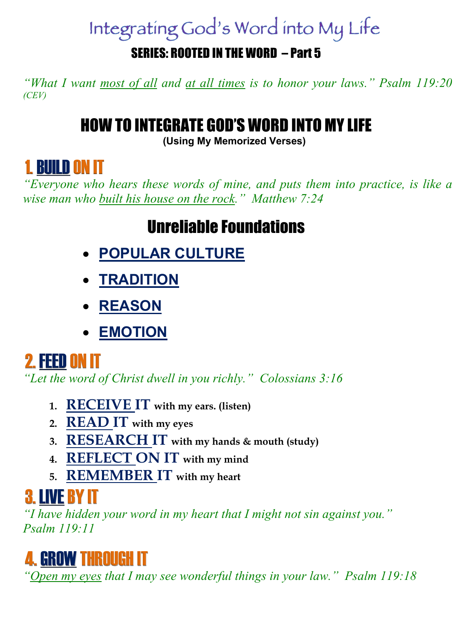# Integrating God's Word into My Life

#### SERIES: ROOTED IN THE WORD – Part 5

*"What I want most of all and at all times is to honor your laws." Psalm 119:20 (CEV)*

#### HOW TO INTEGRATE GOD'S WORD INTO MY LIFE

**(Using My Memorized Verses)**

### 1. BUILDON IT

*"Everyone who hears these words of mine, and puts them into practice, is like a wise man who built his house on the rock." Matthew 7:24*

#### Unreliable Foundations

- **POPULAR CULTURE**
- **TRADITION**
- **REASON**
- **EMOTION**

### 2. FEEDON IT

*"Let the word of Christ dwell in you richly." Colossians 3:16*

- **1. RECEIVE IT with my ears. (listen)**
- **2. READ IT with my eyes**
- **3. RESEARCH IT with my hands & mouth (study)**
- **4. REFLECT ON IT with my mind**
- **5. REMEMBER IT with my heart**

## 3. LIVEBY IT

*"I have hidden your word in my heart that I might not sin against you." Psalm 119:11*



*"Open my eyes that I may see wonderful things in your law." Psalm 119:18*